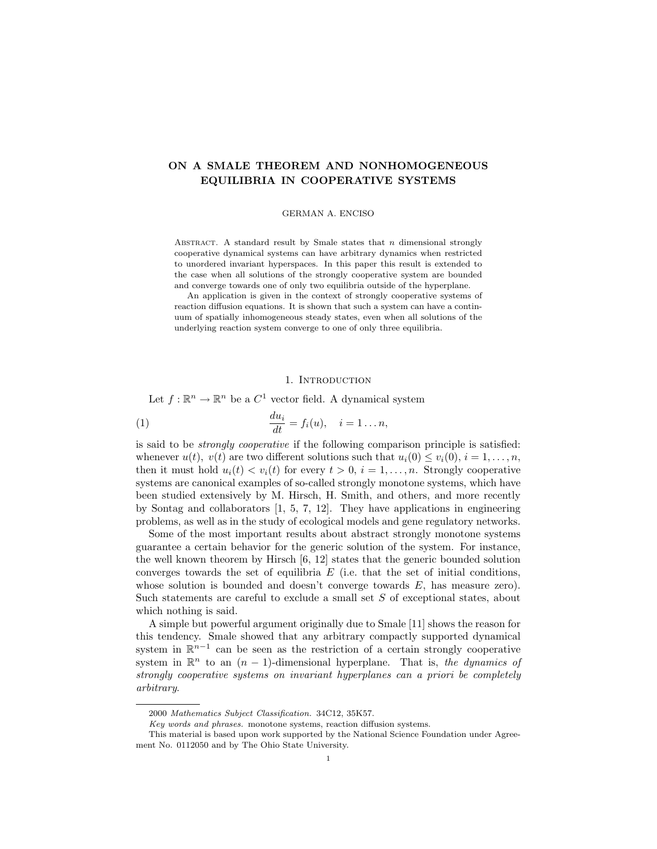# ON A SMALE THEOREM AND NONHOMOGENEOUS EQUILIBRIA IN COOPERATIVE SYSTEMS

GERMAN A. ENCISO

ABSTRACT. A standard result by Smale states that  $n$  dimensional strongly cooperative dynamical systems can have arbitrary dynamics when restricted to unordered invariant hyperspaces. In this paper this result is extended to the case when all solutions of the strongly cooperative system are bounded and converge towards one of only two equilibria outside of the hyperplane.

An application is given in the context of strongly cooperative systems of reaction diffusion equations. It is shown that such a system can have a continuum of spatially inhomogeneous steady states, even when all solutions of the underlying reaction system converge to one of only three equilibria.

## 1. INTRODUCTION

Let  $f: \mathbb{R}^n \to \mathbb{R}^n$  be a  $C^1$  vector field. A dynamical system

(1) 
$$
\frac{du_i}{dt} = f_i(u), \quad i = 1 \dots n,
$$

is said to be strongly cooperative if the following comparison principle is satisfied: whenever  $u(t)$ ,  $v(t)$  are two different solutions such that  $u_i(0) \leq v_i(0)$ ,  $i = 1, \ldots, n$ , then it must hold  $u_i(t) < v_i(t)$  for every  $t > 0$ ,  $i = 1, \ldots, n$ . Strongly cooperative systems are canonical examples of so-called strongly monotone systems, which have been studied extensively by M. Hirsch, H. Smith, and others, and more recently by Sontag and collaborators [1, 5, 7, 12]. They have applications in engineering problems, as well as in the study of ecological models and gene regulatory networks.

Some of the most important results about abstract strongly monotone systems guarantee a certain behavior for the generic solution of the system. For instance, the well known theorem by Hirsch [6, 12] states that the generic bounded solution converges towards the set of equilibria  $E$  (i.e. that the set of initial conditions, whose solution is bounded and doesn't converge towards  $E$ , has measure zero). Such statements are careful to exclude a small set S of exceptional states, about which nothing is said.

A simple but powerful argument originally due to Smale [11] shows the reason for this tendency. Smale showed that any arbitrary compactly supported dynamical system in  $\mathbb{R}^{n-1}$  can be seen as the restriction of a certain strongly cooperative system in  $\mathbb{R}^n$  to an  $(n-1)$ -dimensional hyperplane. That is, the dynamics of strongly cooperative systems on invariant hyperplanes can a priori be completely arbitrary.

<sup>2000</sup> Mathematics Subject Classification. 34C12, 35K57.

Key words and phrases. monotone systems, reaction diffusion systems.

This material is based upon work supported by the National Science Foundation under Agreement No. 0112050 and by The Ohio State University.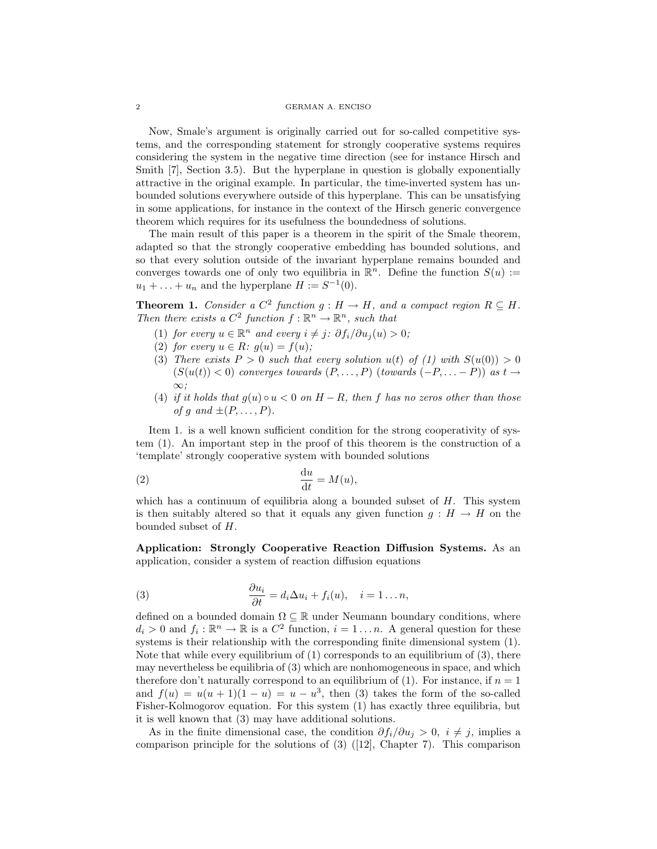#### 2 GERMAN A. ENCISO

Now, Smale's argument is originally carried out for so-called competitive systems, and the corresponding statement for strongly cooperative systems requires considering the system in the negative time direction (see for instance Hirsch and Smith [7], Section 3.5). But the hyperplane in question is globally exponentially attractive in the original example. In particular, the time-inverted system has unbounded solutions everywhere outside of this hyperplane. This can be unsatisfying in some applications, for instance in the context of the Hirsch generic convergence theorem which requires for its usefulness the boundedness of solutions.

The main result of this paper is a theorem in the spirit of the Smale theorem, adapted so that the strongly cooperative embedding has bounded solutions, and so that every solution outside of the invariant hyperplane remains bounded and converges towards one of only two equilibria in  $\mathbb{R}^n$ . Define the function  $S(u) :=$  $u_1 + \ldots + u_n$  and the hyperplane  $H := S^{-1}(0)$ .

**Theorem 1.** Consider a  $C^2$  function  $g : H \to H$ , and a compact region  $R \subseteq H$ . Then there exists a  $C^2$  function  $f : \mathbb{R}^n \to \mathbb{R}^n$ , such that

- (1) for every  $u \in \mathbb{R}^n$  and every  $i \neq j$ :  $\partial f_i / \partial u_j(u) > 0$ ;
- (2) for every  $u \in R$ :  $g(u) = f(u)$ ;
- (3) There exists  $P > 0$  such that every solution  $u(t)$  of (1) with  $S(u(0)) > 0$  $(S(u(t)) < 0)$  converges towards  $(P, \ldots, P)$  (towards  $(-P, \ldots, P)$ ) as  $t \to$ ∞;
- (4) if it holds that  $g(u) \circ u < 0$  on  $H R$ , then f has no zeros other than those of g and  $\pm (P, \ldots, P)$ .

Item 1. is a well known sufficient condition for the strong cooperativity of system (1). An important step in the proof of this theorem is the construction of a 'template' strongly cooperative system with bounded solutions

$$
\frac{\mathrm{d}u}{\mathrm{d}t} = M(u),
$$

which has a continuum of equilibria along a bounded subset of  $H$ . This system is then suitably altered so that it equals any given function  $g : H \to H$  on the bounded subset of H.

Application: Strongly Cooperative Reaction Diffusion Systems. As an application, consider a system of reaction diffusion equations

(3) 
$$
\frac{\partial u_i}{\partial t} = d_i \Delta u_i + f_i(u), \quad i = 1...n,
$$

defined on a bounded domain  $\Omega \subseteq \mathbb{R}$  under Neumann boundary conditions, where  $d_i > 0$  and  $f_i : \mathbb{R}^n \to \mathbb{R}$  is a  $C^2$  function,  $i = 1 \dots n$ . A general question for these systems is their relationship with the corresponding finite dimensional system (1). Note that while every equilibrium of  $(1)$  corresponds to an equilibrium of  $(3)$ , there may nevertheless be equilibria of (3) which are nonhomogeneous in space, and which therefore don't naturally correspond to an equilibrium of (1). For instance, if  $n = 1$ and  $f(u) = u(u + 1)(1 - u) = u - u^3$ , then (3) takes the form of the so-called Fisher-Kolmogorov equation. For this system (1) has exactly three equilibria, but it is well known that (3) may have additional solutions.

As in the finite dimensional case, the condition  $\partial f_i/\partial u_i > 0$ ,  $i \neq j$ , implies a comparison principle for the solutions of (3) ([12], Chapter 7). This comparison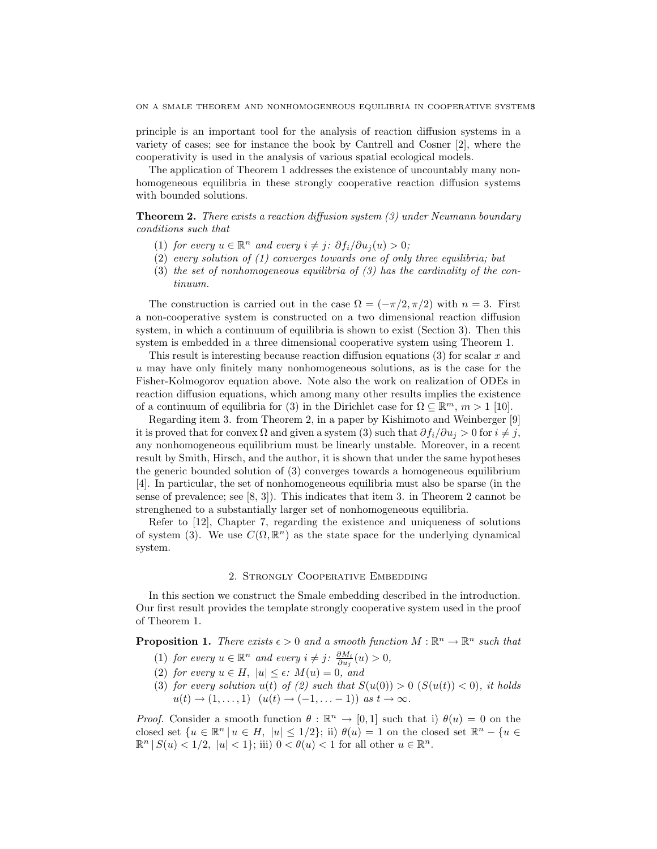principle is an important tool for the analysis of reaction diffusion systems in a variety of cases; see for instance the book by Cantrell and Cosner [2], where the cooperativity is used in the analysis of various spatial ecological models.

The application of Theorem 1 addresses the existence of uncountably many nonhomogeneous equilibria in these strongly cooperative reaction diffusion systems with bounded solutions.

**Theorem 2.** There exists a reaction diffusion system  $(3)$  under Neumann boundary conditions such that

- (1) for every  $u \in \mathbb{R}^n$  and every  $i \neq j$ :  $\partial f_i / \partial u_j(u) > 0$ ;
- (2) every solution of (1) converges towards one of only three equilibria; but
- (3) the set of nonhomogeneous equilibria of  $(3)$  has the cardinality of the continuum.

The construction is carried out in the case  $\Omega = (-\pi/2, \pi/2)$  with  $n = 3$ . First a non-cooperative system is constructed on a two dimensional reaction diffusion system, in which a continuum of equilibria is shown to exist (Section 3). Then this system is embedded in a three dimensional cooperative system using Theorem 1.

This result is interesting because reaction diffusion equations (3) for scalar x and u may have only finitely many nonhomogeneous solutions, as is the case for the Fisher-Kolmogorov equation above. Note also the work on realization of ODEs in reaction diffusion equations, which among many other results implies the existence of a continuum of equilibria for (3) in the Dirichlet case for  $\Omega \subseteq \mathbb{R}^m$ ,  $m > 1$  [10].

Regarding item 3. from Theorem 2, in a paper by Kishimoto and Weinberger [9] it is proved that for convex  $\Omega$  and given a system (3) such that  $\partial f_i/\partial u_j > 0$  for  $i \neq j$ , any nonhomogeneous equilibrium must be linearly unstable. Moreover, in a recent result by Smith, Hirsch, and the author, it is shown that under the same hypotheses the generic bounded solution of (3) converges towards a homogeneous equilibrium [4]. In particular, the set of nonhomogeneous equilibria must also be sparse (in the sense of prevalence; see [8, 3]). This indicates that item 3. in Theorem 2 cannot be strenghened to a substantially larger set of nonhomogeneous equilibria.

Refer to [12], Chapter 7, regarding the existence and uniqueness of solutions of system (3). We use  $C(\Omega, \mathbb{R}^n)$  as the state space for the underlying dynamical system.

### 2. Strongly Cooperative Embedding

In this section we construct the Smale embedding described in the introduction. Our first result provides the template strongly cooperative system used in the proof of Theorem 1.

**Proposition 1.** There exists  $\epsilon > 0$  and a smooth function  $M : \mathbb{R}^n \to \mathbb{R}^n$  such that

- (1) for every  $u \in \mathbb{R}^n$  and every  $i \neq j$ :  $\frac{\partial M_i}{\partial u_j}(u) > 0$ ,
- (2) for every  $u \in H$ ,  $|u| \leq \epsilon$ :  $M(u) = 0$ , and
- (3) for every solution  $u(t)$  of (2) such that  $S(u(0)) > 0$   $(S(u(t)) < 0)$ , it holds  $u(t) \rightarrow (1, \ldots, 1)$   $(u(t) \rightarrow (-1, \ldots -1))$  as  $t \rightarrow \infty$ .

*Proof.* Consider a smooth function  $\theta : \mathbb{R}^n \to [0,1]$  such that i)  $\theta(u) = 0$  on the closed set  $\{u \in \mathbb{R}^n | u \in H, |u| \leq 1/2\}$ ; ii)  $\theta(u) = 1$  on the closed set  $\mathbb{R}^n - \{u \in$  $\mathbb{R}^n | S(u) < 1/2, |u| < 1$ ; iii)  $0 < \theta(u) < 1$  for all other  $u \in \mathbb{R}^n$ .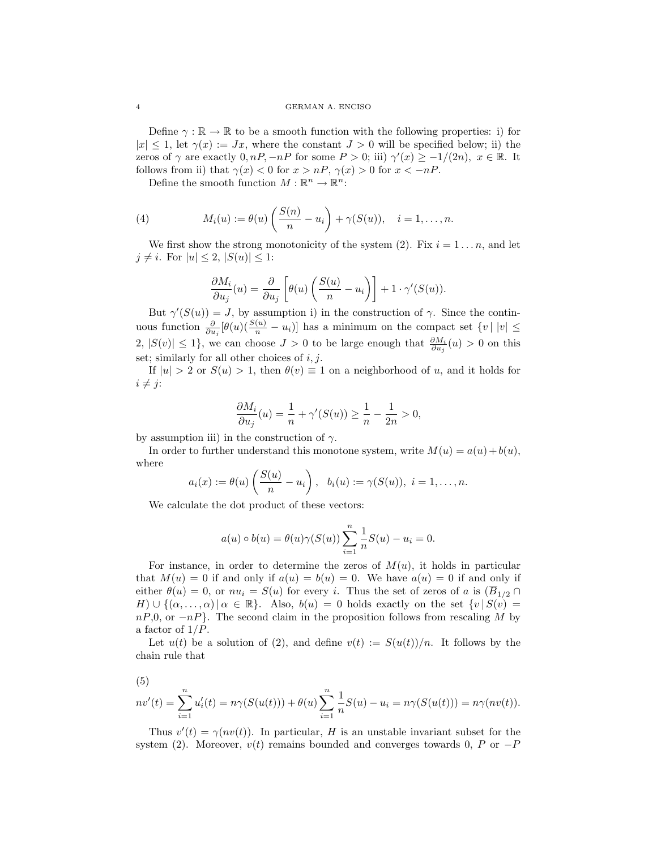Define  $\gamma : \mathbb{R} \to \mathbb{R}$  to be a smooth function with the following properties: i) for  $|x| \leq 1$ , let  $\gamma(x) := Jx$ , where the constant  $J > 0$  will be specified below; ii) the zeros of  $\gamma$  are exactly  $0, nP, -nP$  for some  $P > 0$ ; iii)  $\gamma'(x) \geq -1/(2n), x \in \mathbb{R}$ . It follows from ii) that  $\gamma(x) < 0$  for  $x > nP$ ,  $\gamma(x) > 0$  for  $x < -nP$ .

Define the smooth function  $M : \mathbb{R}^n \to \mathbb{R}^n$ :

(4) 
$$
M_i(u) := \theta(u) \left( \frac{S(n)}{n} - u_i \right) + \gamma(S(u)), \quad i = 1, \dots, n.
$$

We first show the strong monotonicity of the system (2). Fix  $i = 1 \dots n$ , and let  $j \neq i$ . For  $|u| \leq 2$ ,  $|S(u)| \leq 1$ :

$$
\frac{\partial M_i}{\partial u_j}(u) = \frac{\partial}{\partial u_j} \left[ \theta(u) \left( \frac{S(u)}{n} - u_i \right) \right] + 1 \cdot \gamma'(S(u)).
$$

But  $\gamma'(S(u)) = J$ , by assumption i) in the construction of  $\gamma$ . Since the continuous function  $\frac{\partial}{\partial u_j}[\theta(u)(\frac{S(u)}{n} - u_i)]$  has a minimum on the compact set  $\{v \mid |v| \leq$ 2,  $|S(v)|$  ≤ 1}, we can choose  $J > 0$  to be large enough that  $\frac{\partial M_i}{\partial u_j}(u) > 0$  on this set; similarly for all other choices of  $i, j$ .

If  $|u| > 2$  or  $S(u) > 1$ , then  $\theta(v) \equiv 1$  on a neighborhood of u, and it holds for  $i \neq j$ :

$$
\frac{\partial M_i}{\partial u_j}(u) = \frac{1}{n} + \gamma'(S(u)) \ge \frac{1}{n} - \frac{1}{2n} > 0,
$$

by assumption iii) in the construction of  $\gamma$ .

In order to further understand this monotone system, write  $M(u) = a(u) + b(u)$ , where

$$
a_i(x) := \theta(u) \left( \frac{S(u)}{n} - u_i \right), \quad b_i(u) := \gamma(S(u)), \quad i = 1, \dots, n.
$$

We calculate the dot product of these vectors:

$$
a(u) \circ b(u) = \theta(u)\gamma(S(u))\sum_{i=1}^n \frac{1}{n}S(u) - u_i = 0.
$$

For instance, in order to determine the zeros of  $M(u)$ , it holds in particular that  $M(u) = 0$  if and only if  $a(u) = b(u) = 0$ . We have  $a(u) = 0$  if and only if either  $\theta(u) = 0$ , or  $nu_i = S(u)$  for every i. Thus the set of zeros of a is  $(\overline{B}_{1/2} \cap$ H)  $\cup$  { $(\alpha, \ldots, \alpha)$  |  $\alpha \in \mathbb{R}$ . Also,  $b(u) = 0$  holds exactly on the set  $\{v \mid S(v) =$  $nP,0$ , or  $-nP$ . The second claim in the proposition follows from rescaling M by a factor of  $1/P$ .

Let  $u(t)$  be a solution of (2), and define  $v(t) := S(u(t))/n$ . It follows by the chain rule that

(5)

$$
nv'(t) = \sum_{i=1}^{n} u'_i(t) = n\gamma(S(u(t))) + \theta(u) \sum_{i=1}^{n} \frac{1}{n} S(u) - u_i = n\gamma(S(u(t))) = n\gamma(nv(t)).
$$

Thus  $v'(t) = \gamma(nv(t))$ . In particular, H is an unstable invariant subset for the system (2). Moreover,  $v(t)$  remains bounded and converges towards 0, P or  $-P$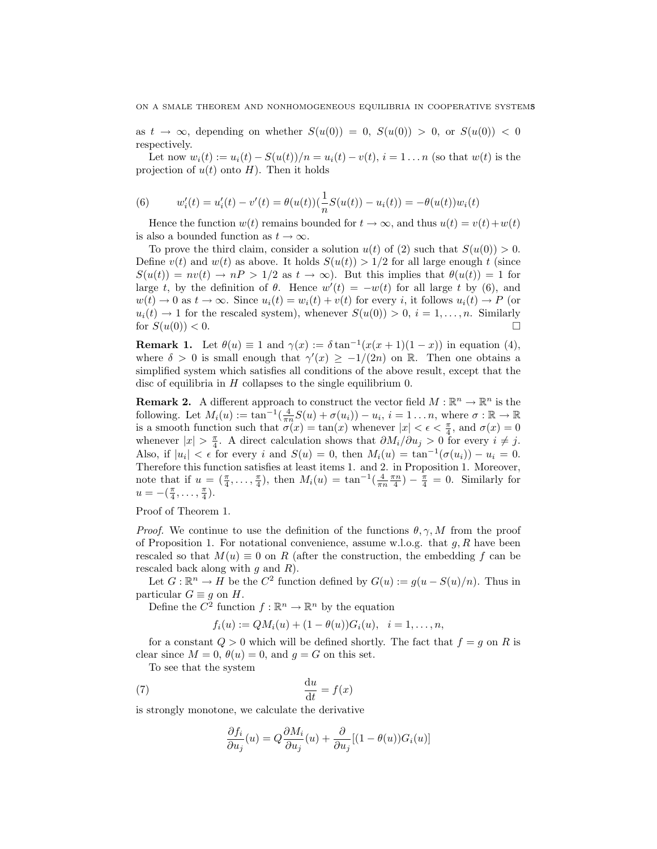as  $t \to \infty$ , depending on whether  $S(u(0)) = 0$ ,  $S(u(0)) > 0$ , or  $S(u(0)) < 0$ respectively.

Let now  $w_i(t) := u_i(t) - S(u(t))/n = u_i(t) - v(t), i = 1...n$  (so that  $w(t)$  is the projection of  $u(t)$  onto H). Then it holds

(6) 
$$
w'_{i}(t) = u'_{i}(t) - v'(t) = \theta(u(t))\left(\frac{1}{n}S(u(t)) - u_{i}(t)\right) = -\theta(u(t))w_{i}(t)
$$

Hence the function  $w(t)$  remains bounded for  $t \to \infty$ , and thus  $u(t) = v(t) + w(t)$ is also a bounded function as  $t \to \infty$ .

To prove the third claim, consider a solution  $u(t)$  of (2) such that  $S(u(0)) > 0$ . Define  $v(t)$  and  $w(t)$  as above. It holds  $S(u(t)) > 1/2$  for all large enough t (since  $S(u(t)) = nv(t) \rightarrow nP > 1/2$  as  $t \rightarrow \infty$ ). But this implies that  $\theta(u(t)) = 1$  for large t, by the definition of  $\theta$ . Hence  $w'(t) = -w(t)$  for all large t by (6), and  $w(t) \to 0$  as  $t \to \infty$ . Since  $u_i(t) = w_i(t) + v(t)$  for every *i*, it follows  $u_i(t) \to P$  (or  $u_i(t) \to 1$  for the rescaled system), whenever  $S(u(0)) > 0, i = 1, \ldots, n$ . Similarly for  $S(u(0)) < 0$ .

**Remark 1.** Let  $\theta(u) \equiv 1$  and  $\gamma(x) := \delta \tan^{-1}(x(x+1)(1-x))$  in equation (4), where  $\delta > 0$  is small enough that  $\gamma'(x) \geq -1/(2n)$  on R. Then one obtains a simplified system which satisfies all conditions of the above result, except that the disc of equilibria in  $H$  collapses to the single equilibrium 0.

**Remark 2.** A different approach to construct the vector field  $M : \mathbb{R}^n \to \mathbb{R}^n$  is the following. Let  $M_i(u) := \tan^{-1}(\frac{4}{\pi n}S(u) + \sigma(u_i)) - u_i, i = 1 \dots n$ , where  $\sigma : \mathbb{R} \to \mathbb{R}$ is a smooth function such that  $\sigma(x) = \tan(x)$  whenever  $|x| < \epsilon < \frac{\pi}{4}$ , and  $\sigma(x) = 0$ whenever  $|x| > \frac{\pi}{4}$ . A direct calculation shows that  $\partial M_i/\partial u_j > 0$  for every  $i \neq j$ . Also, if  $|u_i| < \epsilon$  for every i and  $S(u) = 0$ , then  $M_i(u) = \tan^{-1}(\sigma(u_i)) - u_i = 0$ . Therefore this function satisfies at least items 1. and 2. in Proposition 1. Moreover, note that if  $u = (\frac{\pi}{4}, \dots, \frac{\pi}{4})$ , then  $M_i(u) = \tan^{-1}(\frac{4}{\pi n} \frac{\pi n}{4}) - \frac{\pi}{4} = 0$ . Similarly for  $u = -(\frac{\pi}{4}, \ldots, \frac{\pi}{4}).$ 

Proof of Theorem 1.

*Proof.* We continue to use the definition of the functions  $\theta$ ,  $\gamma$ , M from the proof of Proposition 1. For notational convenience, assume w.l.o.g. that  $g, R$  have been rescaled so that  $M(u) \equiv 0$  on R (after the construction, the embedding f can be rescaled back along with  $q$  and  $R$ ).

Let  $G: \mathbb{R}^n \to H$  be the  $C^2$  function defined by  $G(u) := g(u - S(u)/n)$ . Thus in particular  $G \equiv g$  on  $H$ .

Define the  $\mathbb{C}^2$  function  $f : \mathbb{R}^n \to \mathbb{R}^n$  by the equation

$$
f_i(u) := QM_i(u) + (1 - \theta(u))G_i(u), \quad i = 1, ..., n,
$$

for a constant  $Q > 0$  which will be defined shortly. The fact that  $f = g$  on R is clear since  $M = 0$ ,  $\theta(u) = 0$ , and  $g = G$  on this set.

To see that the system

$$
\frac{\mathrm{d}u}{\mathrm{d}t} = f(x)
$$

is strongly monotone, we calculate the derivative

$$
\frac{\partial f_i}{\partial u_j}(u) = Q \frac{\partial M_i}{\partial u_j}(u) + \frac{\partial}{\partial u_j} [(1 - \theta(u))G_i(u)]
$$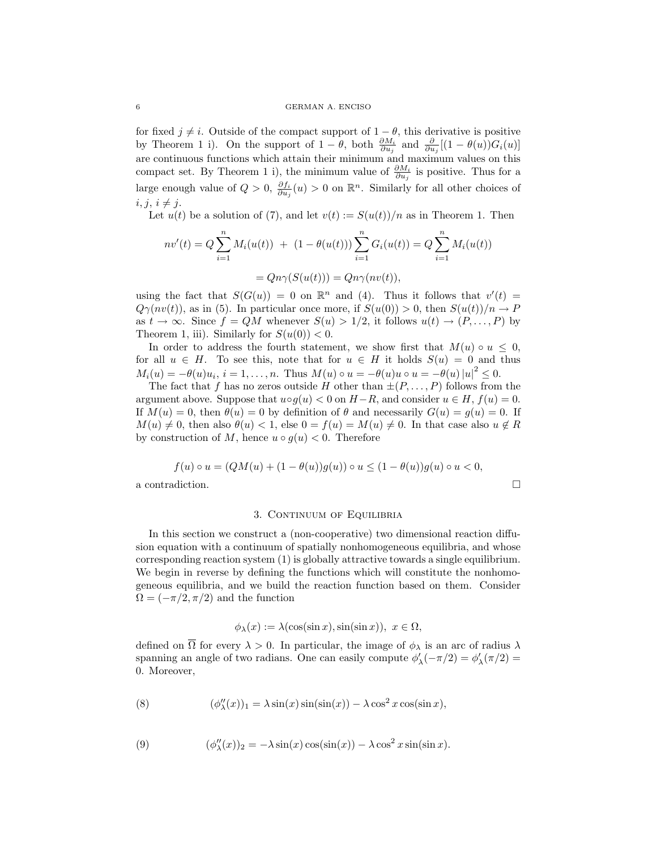for fixed  $j \neq i$ . Outside of the compact support of  $1 - \theta$ , this derivative is positive by Theorem 1 i). On the support of  $1 - \theta$ , both  $\frac{\partial M_i}{\partial u_j}$  and  $\frac{\partial}{\partial u_j}[(1 - \theta(u))G_i(u)]$ are continuous functions which attain their minimum and maximum values on this compact set. By Theorem 1 i), the minimum value of  $\frac{\partial M_i}{\partial u_j}$  is positive. Thus for a large enough value of  $Q > 0$ ,  $\frac{\partial f_i}{\partial u_j}(u) > 0$  on  $\mathbb{R}^n$ . Similarly for all other choices of  $i, j, i \neq j.$ 

Let  $u(t)$  be a solution of (7), and let  $v(t) := S(u(t))/n$  as in Theorem 1. Then

$$
nv'(t) = Q \sum_{i=1}^{n} M_i(u(t)) + (1 - \theta(u(t))) \sum_{i=1}^{n} G_i(u(t)) = Q \sum_{i=1}^{n} M_i(u(t))
$$

$$
= Qn\gamma(S(u(t))) = Qn\gamma(nv(t)),
$$

using the fact that  $S(G(u)) = 0$  on  $\mathbb{R}^n$  and (4). Thus it follows that  $v'(t) =$  $Q\gamma(nv(t))$ , as in (5). In particular once more, if  $S(u(0)) > 0$ , then  $S(u(t))/n \to P$ as  $t \to \infty$ . Since  $f = QM$  whenever  $S(u) > 1/2$ , it follows  $u(t) \to (P, \ldots, P)$  by Theorem 1, iii). Similarly for  $S(u(0)) < 0$ .

In order to address the fourth statement, we show first that  $M(u) \circ u \leq 0$ , for all  $u \in H$ . To see this, note that for  $u \in H$  it holds  $S(u) = 0$  and thus  $M_i(u) = -\theta(u)u_i, i = 1,...,n.$  Thus  $M(u) \circ u = -\theta(u)u \circ u = -\theta(u) |u|^2 \leq 0.$ 

The fact that f has no zeros outside H other than  $\pm (P, \ldots, P)$  follows from the argument above. Suppose that  $u \circ g(u) < 0$  on  $H-R$ , and consider  $u \in H$ ,  $f(u) = 0$ . If  $M(u) = 0$ , then  $\theta(u) = 0$  by definition of  $\theta$  and necessarily  $G(u) = g(u) = 0$ . If  $M(u) \neq 0$ , then also  $\theta(u) < 1$ , else  $0 = f(u) = M(u) \neq 0$ . In that case also  $u \notin R$ by construction of M, hence  $u \circ q(u) < 0$ . Therefore

$$
f(u) \circ u = (QM(u) + (1 - \theta(u))g(u)) \circ u \le (1 - \theta(u))g(u) \circ u < 0,
$$
\na contradiction.

\n
$$
\Box
$$

#### 3. CONTINUUM OF EQUILIBRIA

In this section we construct a (non-cooperative) two dimensional reaction diffusion equation with a continuum of spatially nonhomogeneous equilibria, and whose corresponding reaction system (1) is globally attractive towards a single equilibrium. We begin in reverse by defining the functions which will constitute the nonhomogeneous equilibria, and we build the reaction function based on them. Consider  $\Omega = (-\pi/2, \pi/2)$  and the function

$$
\phi_{\lambda}(x) := \lambda(\cos(\sin x), \sin(\sin x)), \ x \in \Omega,
$$

defined on  $\overline{\Omega}$  for every  $\lambda > 0$ . In particular, the image of  $\phi_{\lambda}$  is an arc of radius  $\lambda$ spanning an angle of two radians. One can easily compute  $\phi'_{\lambda}(-\pi/2) = \phi'_{\lambda}(\pi/2) =$ 0. Moreover,

(8) 
$$
(\phi''_{\lambda}(x))_1 = \lambda \sin(x) \sin(\sin(x)) - \lambda \cos^2 x \cos(\sin x),
$$

(9) 
$$
(\phi''_{\lambda}(x))_2 = -\lambda \sin(x) \cos(\sin(x)) - \lambda \cos^2 x \sin(\sin x).
$$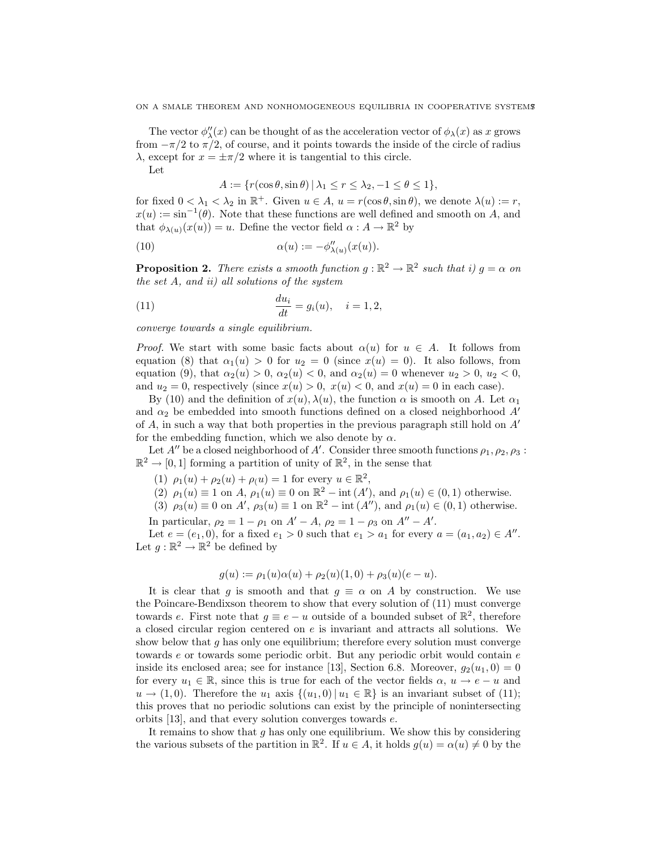The vector  $\phi''_{\lambda}(x)$  can be thought of as the acceleration vector of  $\phi_{\lambda}(x)$  as x grows from  $-\pi/2$  to  $\pi/2$ , of course, and it points towards the inside of the circle of radius  $\lambda$ , except for  $x = \pm \pi/2$  where it is tangential to this circle.

Let

$$
A := \{ r(\cos \theta, \sin \theta) \mid \lambda_1 \le r \le \lambda_2, -1 \le \theta \le 1 \},\
$$

for fixed  $0 < \lambda_1 < \lambda_2$  in  $\mathbb{R}^+$ . Given  $u \in A$ ,  $u = r(\cos \theta, \sin \theta)$ , we denote  $\lambda(u) := r$ ,  $x(u) := \sin^{-1}(\theta)$ . Note that these functions are well defined and smooth on A, and that  $\phi_{\lambda(u)}(x(u)) = u$ . Define the vector field  $\alpha : A \to \mathbb{R}^2$  by

(10) 
$$
\alpha(u) := -\phi''_{\lambda(u)}(x(u)).
$$

**Proposition 2.** There exists a smooth function  $g : \mathbb{R}^2 \to \mathbb{R}^2$  such that i)  $g = \alpha$  on the set A, and ii) all solutions of the system

(11) 
$$
\frac{du_i}{dt} = g_i(u), \quad i = 1, 2,
$$

converge towards a single equilibrium.

*Proof.* We start with some basic facts about  $\alpha(u)$  for  $u \in A$ . It follows from equation (8) that  $\alpha_1(u) > 0$  for  $u_2 = 0$  (since  $x(u) = 0$ ). It also follows, from equation (9), that  $\alpha_2(u) > 0$ ,  $\alpha_2(u) < 0$ , and  $\alpha_2(u) = 0$  whenever  $u_2 > 0$ ,  $u_2 < 0$ , and  $u_2 = 0$ , respectively (since  $x(u) > 0$ ,  $x(u) < 0$ , and  $x(u) = 0$  in each case).

By (10) and the definition of  $x(u)$ ,  $\lambda(u)$ , the function  $\alpha$  is smooth on A. Let  $\alpha_1$ and  $\alpha_2$  be embedded into smooth functions defined on a closed neighborhood  $A'$ of A, in such a way that both properties in the previous paragraph still hold on  $A'$ for the embedding function, which we also denote by  $\alpha$ .

Let  $A''$  be a closed neighborhood of  $A'$ . Consider three smooth functions  $\rho_1, \rho_2, \rho_3$ :  $\mathbb{R}^2 \to [0, 1]$  forming a partition of unity of  $\mathbb{R}^2$ , in the sense that

- (1)  $\rho_1(u) + \rho_2(u) + \rho_1(u) = 1$  for every  $u \in \mathbb{R}^2$ ,
- (2)  $\rho_1(u) \equiv 1$  on  $A, \rho_1(u) \equiv 0$  on  $\mathbb{R}^2$  int  $(A')$ , and  $\rho_1(u) \in (0,1)$  otherwise.
- (3)  $\rho_3(u) \equiv 0$  on A',  $\rho_3(u) \equiv 1$  on  $\mathbb{R}^2$  int  $(A'')$ , and  $\rho_1(u) \in (0,1)$  otherwise.

In particular,  $\rho_2 = 1 - \rho_1$  on  $A' - A$ ,  $\rho_2 = 1 - \rho_3$  on  $A'' - A'$ .

Let  $e = (e_1, 0)$ , for a fixed  $e_1 > 0$  such that  $e_1 > a_1$  for every  $a = (a_1, a_2) \in A''$ . Let  $g : \mathbb{R}^2 \to \mathbb{R}^2$  be defined by

$$
g(u) := \rho_1(u)\alpha(u) + \rho_2(u)(1,0) + \rho_3(u)(e-u).
$$

It is clear that q is smooth and that  $q \equiv \alpha$  on A by construction. We use the Poincare-Bendixson theorem to show that every solution of (11) must converge towards e. First note that  $g \equiv e - u$  outside of a bounded subset of  $\mathbb{R}^2$ , therefore a closed circular region centered on e is invariant and attracts all solutions. We show below that  $g$  has only one equilibrium; therefore every solution must converge towards e or towards some periodic orbit. But any periodic orbit would contain e inside its enclosed area; see for instance [13], Section 6.8. Moreover,  $g_2(u_1, 0) = 0$ for every  $u_1 \in \mathbb{R}$ , since this is true for each of the vector fields  $\alpha, u \to e - u$  and  $u \to (1, 0)$ . Therefore the  $u_1$  axis  $\{(u_1, 0) | u_1 \in \mathbb{R}\}$  is an invariant subset of (11); this proves that no periodic solutions can exist by the principle of nonintersecting orbits [13], and that every solution converges towards e.

It remains to show that  $q$  has only one equilibrium. We show this by considering the various subsets of the partition in  $\mathbb{R}^2$ . If  $u \in A$ , it holds  $g(u) = \alpha(u) \neq 0$  by the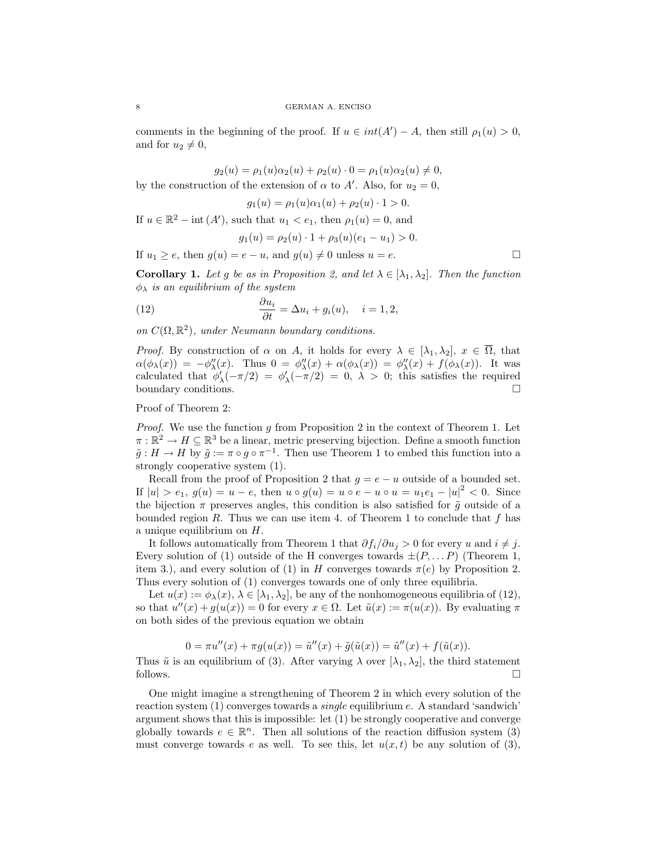comments in the beginning of the proof. If  $u \in int(A') - A$ , then still  $\rho_1(u) > 0$ , and for  $u_2 \neq 0$ ,

 $g_2(u) = \rho_1(u)\alpha_2(u) + \rho_2(u) \cdot 0 = \rho_1(u)\alpha_2(u) \neq 0,$ 

by the construction of the extension of  $\alpha$  to  $A'$ . Also, for  $u_2 = 0$ ,

 $g_1(u) = \rho_1(u)\alpha_1(u) + \rho_2(u) \cdot 1 > 0.$ 

If  $u \in \mathbb{R}^2$  – int  $(A')$ , such that  $u_1 < e_1$ , then  $\rho_1(u) = 0$ , and

$$
g_1(u) = \rho_2(u) \cdot 1 + \rho_3(u)(e_1 - u_1) > 0.
$$

If  $u_1 > e$ , then  $q(u) = e - u$ , and  $q(u) \neq 0$  unless  $u = e$ .

**Corollary 1.** Let g be as in Proposition 2, and let  $\lambda \in [\lambda_1, \lambda_2]$ . Then the function  $\phi_{\lambda}$  is an equilibrium of the system

(12) 
$$
\frac{\partial u_i}{\partial t} = \Delta u_i + g_i(u), \quad i = 1, 2,
$$

on  $C(\Omega,\mathbb{R}^2)$ , under Neumann boundary conditions.

*Proof.* By construction of  $\alpha$  on A, it holds for every  $\lambda \in [\lambda_1, \lambda_2], x \in \overline{\Omega}$ , that  $\alpha(\phi_{\lambda}(x)) = -\phi''_{\lambda}(x)$ . Thus  $0 = \phi''_{\lambda}(x) + \alpha(\phi_{\lambda}(x)) = \phi''_{\lambda}(x) + f(\phi_{\lambda}(x))$ . It was calculated that  $\phi'_{\lambda}(-\pi/2) = \phi'_{\lambda}(-\pi/2) = 0, \lambda > 0$ ; this satisfies the required boundary conditions.

Proof of Theorem 2:

*Proof.* We use the function  $g$  from Proposition 2 in the context of Theorem 1. Let  $\pi : \mathbb{R}^2 \to H \subseteq \mathbb{R}^3$  be a linear, metric preserving bijection. Define a smooth function  $\tilde{g}: H \to H$  by  $\tilde{g} := \pi \circ g \circ \pi^{-1}$ . Then use Theorem 1 to embed this function into a strongly cooperative system (1).

Recall from the proof of Proposition 2 that  $q = e - u$  outside of a bounded set. If  $|u| > e_1$ ,  $g(u) = u - e$ , then  $u \circ g(u) = u \circ e - u \circ u = u_1 e_1 - |u|^2 < 0$ . Since the bijection  $\pi$  preserves angles, this condition is also satisfied for  $\tilde{g}$  outside of a bounded region R. Thus we can use item 4. of Theorem 1 to conclude that  $f$  has a unique equilibrium on H.

It follows automatically from Theorem 1 that  $\partial f_i/\partial u_j > 0$  for every u and  $i \neq j$ . Every solution of (1) outside of the H converges towards  $\pm (P, \dots P)$  (Theorem 1, item 3.), and every solution of (1) in H converges towards  $\pi(e)$  by Proposition 2. Thus every solution of (1) converges towards one of only three equilibria.

Let  $u(x) := \phi_{\lambda}(x), \lambda \in [\lambda_1, \lambda_2]$ , be any of the nonhomogeneous equilibria of (12), so that  $u''(x) + g(u(x)) = 0$  for every  $x \in \Omega$ . Let  $\tilde{u}(x) := \pi(u(x))$ . By evaluating  $\pi$ on both sides of the previous equation we obtain

$$
0 = \pi u''(x) + \pi g(u(x)) = \tilde{u}''(x) + \tilde{g}(\tilde{u}(x)) = \tilde{u}''(x) + f(\tilde{u}(x)).
$$

Thus  $\tilde{u}$  is an equilibrium of (3). After varying  $\lambda$  over  $[\lambda_1, \lambda_2]$ , the third statement follows.  $\Box$ 

One might imagine a strengthening of Theorem 2 in which every solution of the reaction system (1) converges towards a single equilibrium e. A standard 'sandwich' argument shows that this is impossible: let (1) be strongly cooperative and converge globally towards  $e \in \mathbb{R}^n$ . Then all solutions of the reaction diffusion system (3) must converge towards e as well. To see this, let  $u(x, t)$  be any solution of (3),